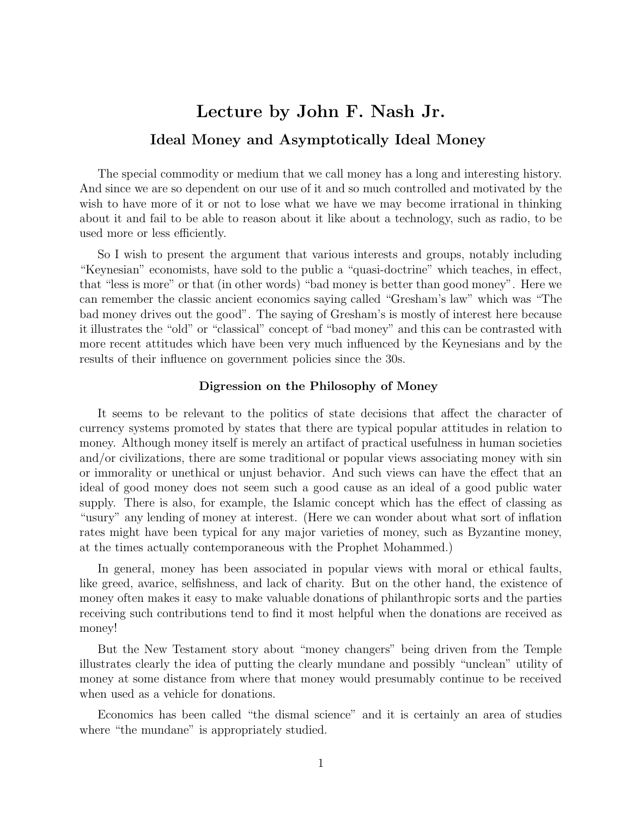# Lecture by John F. Nash Jr. Ideal Money and Asymptotically Ideal Money

The special commodity or medium that we call money has a long and interesting history. And since we are so dependent on our use of it and so much controlled and motivated by the wish to have more of it or not to lose what we have we may become irrational in thinking about it and fail to be able to reason about it like about a technology, such as radio, to be used more or less efficiently.

So I wish to present the argument that various interests and groups, notably including "Keynesian" economists, have sold to the public a "quasi-doctrine" which teaches, in effect, that "less is more" or that (in other words) "bad money is better than good money". Here we can remember the classic ancient economics saying called "Gresham's law" which was "The bad money drives out the good". The saying of Gresham's is mostly of interest here because it illustrates the "old" or "classical" concept of "bad money" and this can be contrasted with more recent attitudes which have been very much influenced by the Keynesians and by the results of their influence on government policies since the 30s.

#### Digression on the Philosophy of Money

It seems to be relevant to the politics of state decisions that affect the character of currency systems promoted by states that there are typical popular attitudes in relation to money. Although money itself is merely an artifact of practical usefulness in human societies and/or civilizations, there are some traditional or popular views associating money with sin or immorality or unethical or unjust behavior. And such views can have the effect that an ideal of good money does not seem such a good cause as an ideal of a good public water supply. There is also, for example, the Islamic concept which has the effect of classing as "usury" any lending of money at interest. (Here we can wonder about what sort of inflation rates might have been typical for any major varieties of money, such as Byzantine money, at the times actually contemporaneous with the Prophet Mohammed.)

In general, money has been associated in popular views with moral or ethical faults, like greed, avarice, selfishness, and lack of charity. But on the other hand, the existence of money often makes it easy to make valuable donations of philanthropic sorts and the parties receiving such contributions tend to find it most helpful when the donations are received as money!

But the New Testament story about "money changers" being driven from the Temple illustrates clearly the idea of putting the clearly mundane and possibly "unclean" utility of money at some distance from where that money would presumably continue to be received when used as a vehicle for donations.

Economics has been called "the dismal science" and it is certainly an area of studies where "the mundane" is appropriately studied.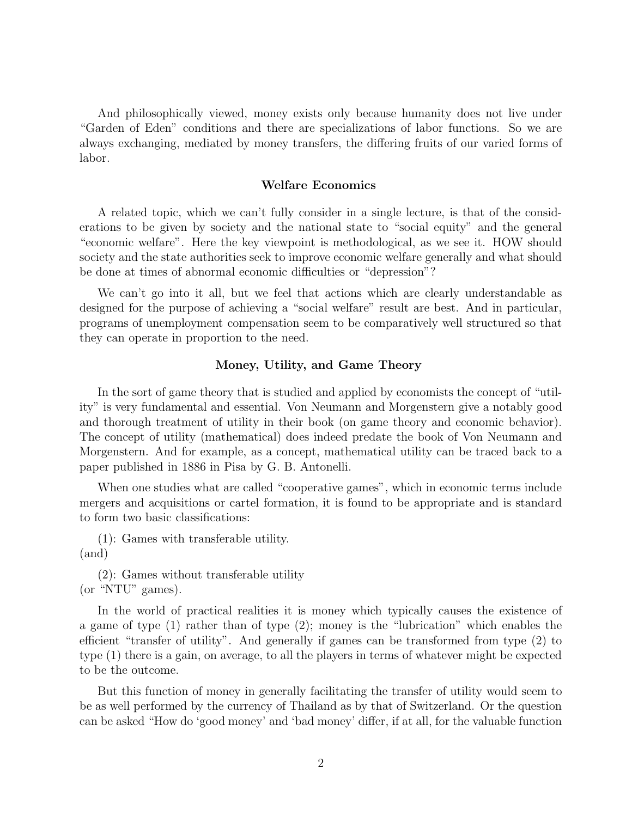And philosophically viewed, money exists only because humanity does not live under "Garden of Eden" conditions and there are specializations of labor functions. So we are always exchanging, mediated by money transfers, the differing fruits of our varied forms of labor.

#### Welfare Economics

A related topic, which we can't fully consider in a single lecture, is that of the considerations to be given by society and the national state to "social equity" and the general "economic welfare". Here the key viewpoint is methodological, as we see it. HOW should society and the state authorities seek to improve economic welfare generally and what should be done at times of abnormal economic difficulties or "depression"?

We can't go into it all, but we feel that actions which are clearly understandable as designed for the purpose of achieving a "social welfare" result are best. And in particular, programs of unemployment compensation seem to be comparatively well structured so that they can operate in proportion to the need.

#### Money, Utility, and Game Theory

In the sort of game theory that is studied and applied by economists the concept of "utility" is very fundamental and essential. Von Neumann and Morgenstern give a notably good and thorough treatment of utility in their book (on game theory and economic behavior). The concept of utility (mathematical) does indeed predate the book of Von Neumann and Morgenstern. And for example, as a concept, mathematical utility can be traced back to a paper published in 1886 in Pisa by G. B. Antonelli.

When one studies what are called "cooperative games", which in economic terms include mergers and acquisitions or cartel formation, it is found to be appropriate and is standard to form two basic classifications:

(1): Games with transferable utility. (and)

(2): Games without transferable utility (or "NTU" games).

In the world of practical realities it is money which typically causes the existence of a game of type (1) rather than of type (2); money is the "lubrication" which enables the efficient "transfer of utility". And generally if games can be transformed from type (2) to type (1) there is a gain, on average, to all the players in terms of whatever might be expected to be the outcome.

But this function of money in generally facilitating the transfer of utility would seem to be as well performed by the currency of Thailand as by that of Switzerland. Or the question can be asked "How do 'good money' and 'bad money' differ, if at all, for the valuable function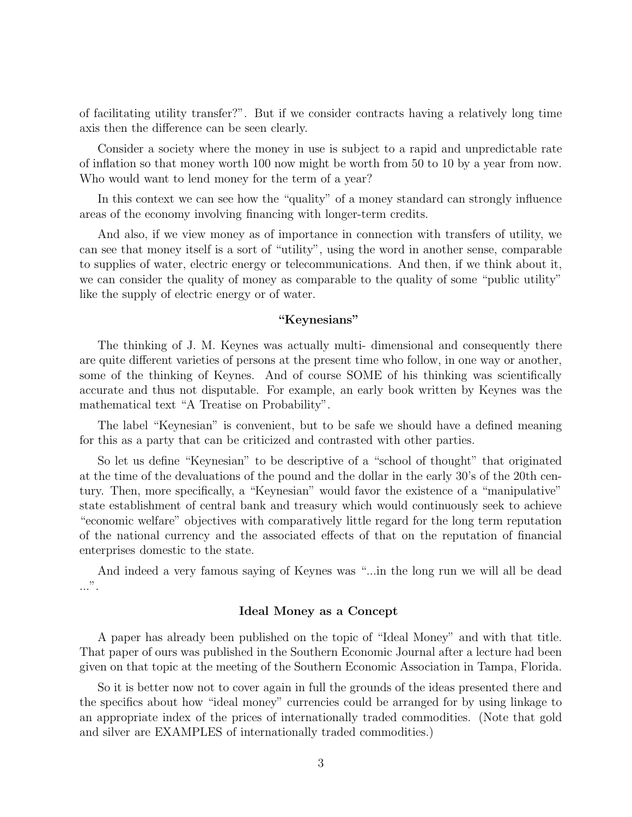of facilitating utility transfer?". But if we consider contracts having a relatively long time axis then the difference can be seen clearly.

Consider a society where the money in use is subject to a rapid and unpredictable rate of inflation so that money worth 100 now might be worth from 50 to 10 by a year from now. Who would want to lend money for the term of a year?

In this context we can see how the "quality" of a money standard can strongly influence areas of the economy involving financing with longer-term credits.

And also, if we view money as of importance in connection with transfers of utility, we can see that money itself is a sort of "utility", using the word in another sense, comparable to supplies of water, electric energy or telecommunications. And then, if we think about it, we can consider the quality of money as comparable to the quality of some "public utility" like the supply of electric energy or of water.

#### "Keynesians"

The thinking of J. M. Keynes was actually multi- dimensional and consequently there are quite different varieties of persons at the present time who follow, in one way or another, some of the thinking of Keynes. And of course SOME of his thinking was scientifically accurate and thus not disputable. For example, an early book written by Keynes was the mathematical text "A Treatise on Probability".

The label "Keynesian" is convenient, but to be safe we should have a defined meaning for this as a party that can be criticized and contrasted with other parties.

So let us define "Keynesian" to be descriptive of a "school of thought" that originated at the time of the devaluations of the pound and the dollar in the early 30's of the 20th century. Then, more specifically, a "Keynesian" would favor the existence of a "manipulative" state establishment of central bank and treasury which would continuously seek to achieve "economic welfare" objectives with comparatively little regard for the long term reputation of the national currency and the associated effects of that on the reputation of financial enterprises domestic to the state.

And indeed a very famous saying of Keynes was "...in the long run we will all be dead ...".

#### Ideal Money as a Concept

A paper has already been published on the topic of "Ideal Money" and with that title. That paper of ours was published in the Southern Economic Journal after a lecture had been given on that topic at the meeting of the Southern Economic Association in Tampa, Florida.

So it is better now not to cover again in full the grounds of the ideas presented there and the specifics about how "ideal money" currencies could be arranged for by using linkage to an appropriate index of the prices of internationally traded commodities. (Note that gold and silver are EXAMPLES of internationally traded commodities.)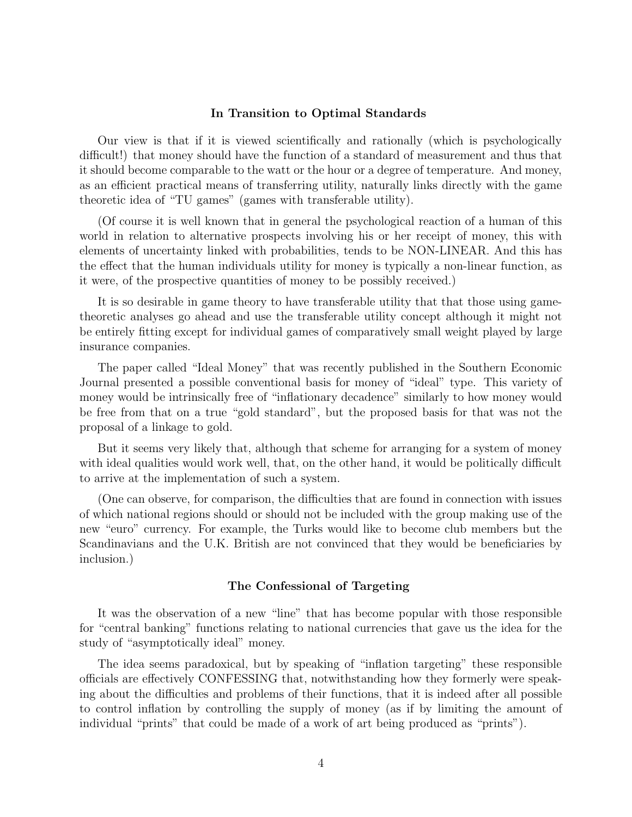#### In Transition to Optimal Standards

Our view is that if it is viewed scientifically and rationally (which is psychologically difficult!) that money should have the function of a standard of measurement and thus that it should become comparable to the watt or the hour or a degree of temperature. And money, as an efficient practical means of transferring utility, naturally links directly with the game theoretic idea of "TU games" (games with transferable utility).

(Of course it is well known that in general the psychological reaction of a human of this world in relation to alternative prospects involving his or her receipt of money, this with elements of uncertainty linked with probabilities, tends to be NON-LINEAR. And this has the effect that the human individuals utility for money is typically a non-linear function, as it were, of the prospective quantities of money to be possibly received.)

It is so desirable in game theory to have transferable utility that that those using gametheoretic analyses go ahead and use the transferable utility concept although it might not be entirely fitting except for individual games of comparatively small weight played by large insurance companies.

The paper called "Ideal Money" that was recently published in the Southern Economic Journal presented a possible conventional basis for money of "ideal" type. This variety of money would be intrinsically free of "inflationary decadence" similarly to how money would be free from that on a true "gold standard", but the proposed basis for that was not the proposal of a linkage to gold.

But it seems very likely that, although that scheme for arranging for a system of money with ideal qualities would work well, that, on the other hand, it would be politically difficult to arrive at the implementation of such a system.

(One can observe, for comparison, the difficulties that are found in connection with issues of which national regions should or should not be included with the group making use of the new "euro" currency. For example, the Turks would like to become club members but the Scandinavians and the U.K. British are not convinced that they would be beneficiaries by inclusion.)

#### The Confessional of Targeting

It was the observation of a new "line" that has become popular with those responsible for "central banking" functions relating to national currencies that gave us the idea for the study of "asymptotically ideal" money.

The idea seems paradoxical, but by speaking of "inflation targeting" these responsible officials are effectively CONFESSING that, notwithstanding how they formerly were speaking about the difficulties and problems of their functions, that it is indeed after all possible to control inflation by controlling the supply of money (as if by limiting the amount of individual "prints" that could be made of a work of art being produced as "prints").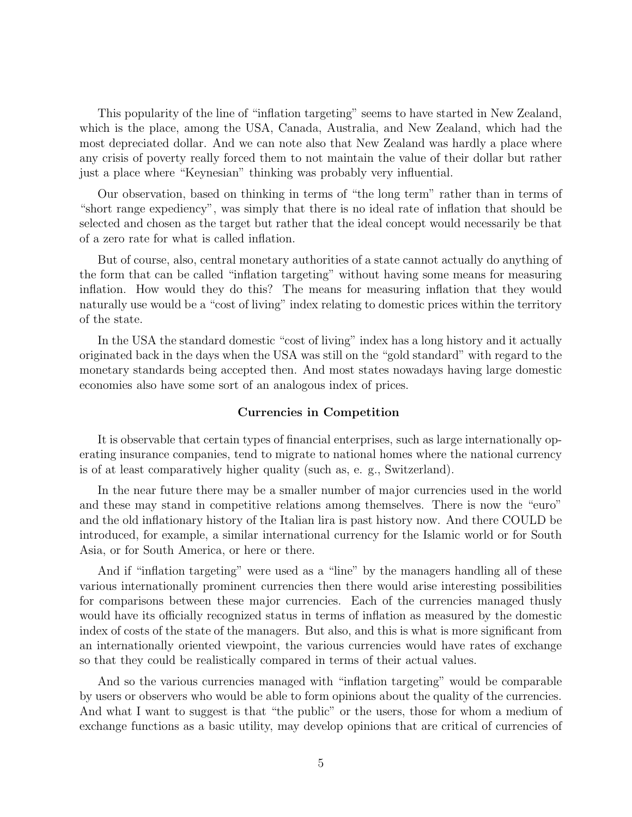This popularity of the line of "inflation targeting" seems to have started in New Zealand, which is the place, among the USA, Canada, Australia, and New Zealand, which had the most depreciated dollar. And we can note also that New Zealand was hardly a place where any crisis of poverty really forced them to not maintain the value of their dollar but rather just a place where "Keynesian" thinking was probably very influential.

Our observation, based on thinking in terms of "the long term" rather than in terms of "short range expediency", was simply that there is no ideal rate of inflation that should be selected and chosen as the target but rather that the ideal concept would necessarily be that of a zero rate for what is called inflation.

But of course, also, central monetary authorities of a state cannot actually do anything of the form that can be called "inflation targeting" without having some means for measuring inflation. How would they do this? The means for measuring inflation that they would naturally use would be a "cost of living" index relating to domestic prices within the territory of the state.

In the USA the standard domestic "cost of living" index has a long history and it actually originated back in the days when the USA was still on the "gold standard" with regard to the monetary standards being accepted then. And most states nowadays having large domestic economies also have some sort of an analogous index of prices.

#### Currencies in Competition

It is observable that certain types of financial enterprises, such as large internationally operating insurance companies, tend to migrate to national homes where the national currency is of at least comparatively higher quality (such as, e. g., Switzerland).

In the near future there may be a smaller number of major currencies used in the world and these may stand in competitive relations among themselves. There is now the "euro" and the old inflationary history of the Italian lira is past history now. And there COULD be introduced, for example, a similar international currency for the Islamic world or for South Asia, or for South America, or here or there.

And if "inflation targeting" were used as a "line" by the managers handling all of these various internationally prominent currencies then there would arise interesting possibilities for comparisons between these major currencies. Each of the currencies managed thusly would have its officially recognized status in terms of inflation as measured by the domestic index of costs of the state of the managers. But also, and this is what is more significant from an internationally oriented viewpoint, the various currencies would have rates of exchange so that they could be realistically compared in terms of their actual values.

And so the various currencies managed with "inflation targeting" would be comparable by users or observers who would be able to form opinions about the quality of the currencies. And what I want to suggest is that "the public" or the users, those for whom a medium of exchange functions as a basic utility, may develop opinions that are critical of currencies of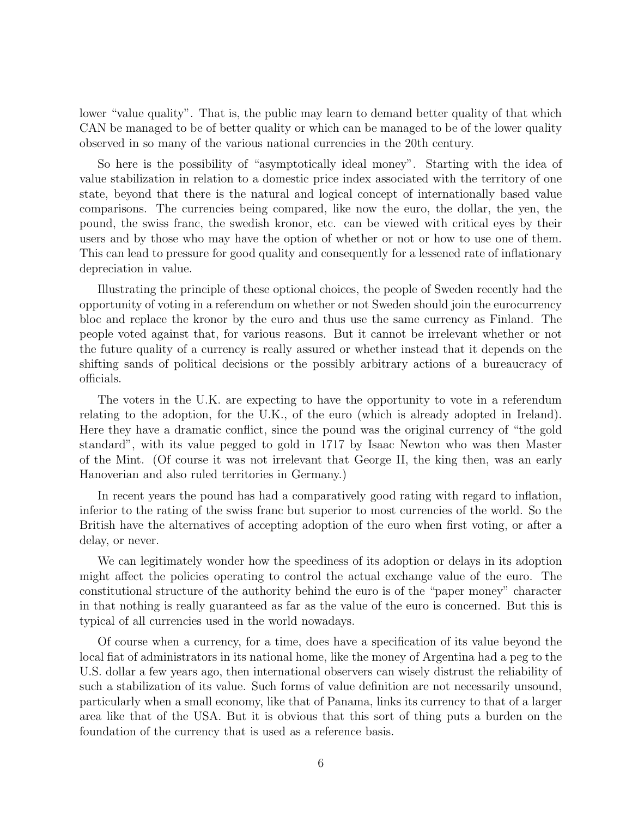lower "value quality". That is, the public may learn to demand better quality of that which CAN be managed to be of better quality or which can be managed to be of the lower quality observed in so many of the various national currencies in the 20th century.

So here is the possibility of "asymptotically ideal money". Starting with the idea of value stabilization in relation to a domestic price index associated with the territory of one state, beyond that there is the natural and logical concept of internationally based value comparisons. The currencies being compared, like now the euro, the dollar, the yen, the pound, the swiss franc, the swedish kronor, etc. can be viewed with critical eyes by their users and by those who may have the option of whether or not or how to use one of them. This can lead to pressure for good quality and consequently for a lessened rate of inflationary depreciation in value.

Illustrating the principle of these optional choices, the people of Sweden recently had the opportunity of voting in a referendum on whether or not Sweden should join the eurocurrency bloc and replace the kronor by the euro and thus use the same currency as Finland. The people voted against that, for various reasons. But it cannot be irrelevant whether or not the future quality of a currency is really assured or whether instead that it depends on the shifting sands of political decisions or the possibly arbitrary actions of a bureaucracy of officials.

The voters in the U.K. are expecting to have the opportunity to vote in a referendum relating to the adoption, for the U.K., of the euro (which is already adopted in Ireland). Here they have a dramatic conflict, since the pound was the original currency of "the gold standard", with its value pegged to gold in 1717 by Isaac Newton who was then Master of the Mint. (Of course it was not irrelevant that George II, the king then, was an early Hanoverian and also ruled territories in Germany.)

In recent years the pound has had a comparatively good rating with regard to inflation, inferior to the rating of the swiss franc but superior to most currencies of the world. So the British have the alternatives of accepting adoption of the euro when first voting, or after a delay, or never.

We can legitimately wonder how the speediness of its adoption or delays in its adoption might affect the policies operating to control the actual exchange value of the euro. The constitutional structure of the authority behind the euro is of the "paper money" character in that nothing is really guaranteed as far as the value of the euro is concerned. But this is typical of all currencies used in the world nowadays.

Of course when a currency, for a time, does have a specification of its value beyond the local fiat of administrators in its national home, like the money of Argentina had a peg to the U.S. dollar a few years ago, then international observers can wisely distrust the reliability of such a stabilization of its value. Such forms of value definition are not necessarily unsound, particularly when a small economy, like that of Panama, links its currency to that of a larger area like that of the USA. But it is obvious that this sort of thing puts a burden on the foundation of the currency that is used as a reference basis.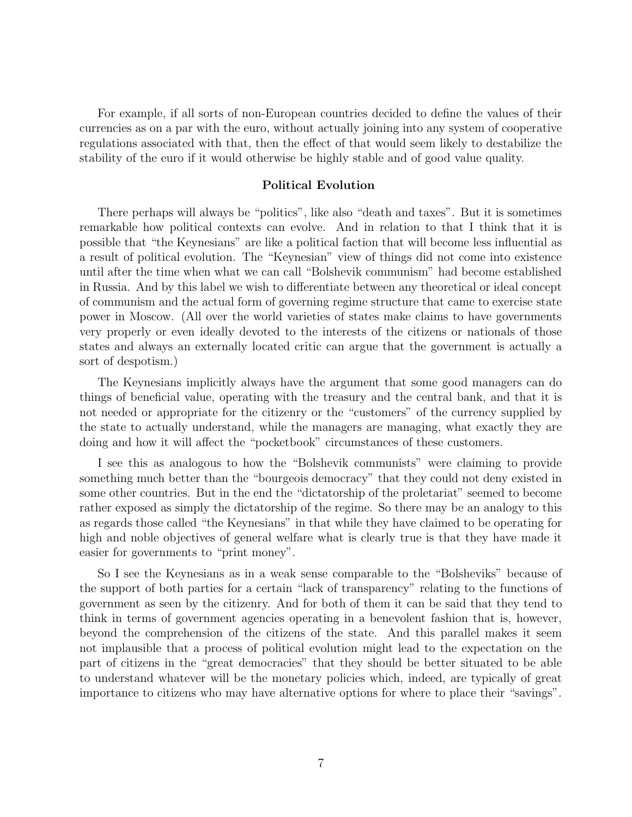For example, if all sorts of non-European countries decided to define the values of their currencies as on a par with the euro, without actually joining into any system of cooperative regulations associated with that, then the effect of that would seem likely to destabilize the stability of the euro if it would otherwise be highly stable and of good value quality.

#### Political Evolution

There perhaps will always be "politics", like also "death and taxes". But it is sometimes remarkable how political contexts can evolve. And in relation to that I think that it is possible that "the Keynesians" are like a political faction that will become less influential as a result of political evolution. The "Keynesian" view of things did not come into existence until after the time when what we can call "Bolshevik communism" had become established in Russia. And by this label we wish to differentiate between any theoretical or ideal concept of communism and the actual form of governing regime structure that came to exercise state power in Moscow. (All over the world varieties of states make claims to have governments very properly or even ideally devoted to the interests of the citizens or nationals of those states and always an externally located critic can argue that the government is actually a sort of despotism.)

The Keynesians implicitly always have the argument that some good managers can do things of beneficial value, operating with the treasury and the central bank, and that it is not needed or appropriate for the citizenry or the "customers" of the currency supplied by the state to actually understand, while the managers are managing, what exactly they are doing and how it will affect the "pocketbook" circumstances of these customers.

I see this as analogous to how the "Bolshevik communists" were claiming to provide something much better than the "bourgeois democracy" that they could not deny existed in some other countries. But in the end the "dictatorship of the proletariat" seemed to become rather exposed as simply the dictatorship of the regime. So there may be an analogy to this as regards those called "the Keynesians" in that while they have claimed to be operating for high and noble objectives of general welfare what is clearly true is that they have made it easier for governments to "print money".

So I see the Keynesians as in a weak sense comparable to the "Bolsheviks" because of the support of both parties for a certain "lack of transparency" relating to the functions of government as seen by the citizenry. And for both of them it can be said that they tend to think in terms of government agencies operating in a benevolent fashion that is, however, beyond the comprehension of the citizens of the state. And this parallel makes it seem not implausible that a process of political evolution might lead to the expectation on the part of citizens in the "great democracies" that they should be better situated to be able to understand whatever will be the monetary policies which, indeed, are typically of great importance to citizens who may have alternative options for where to place their "savings".